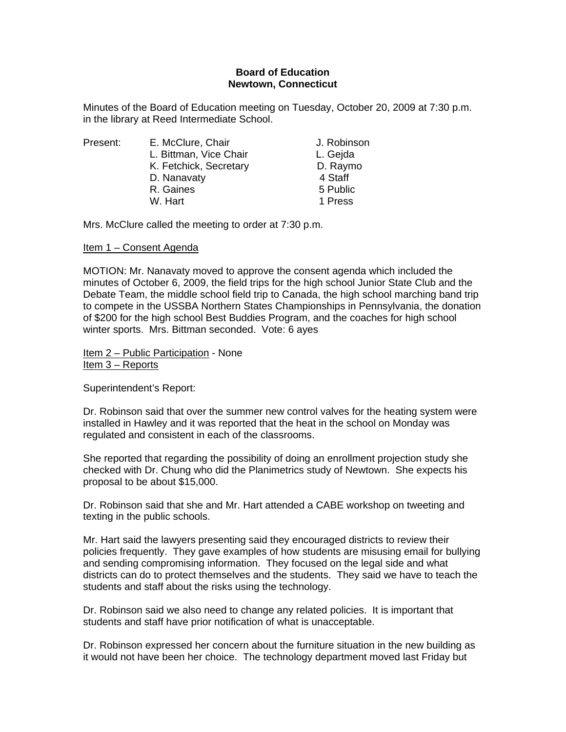# **Board of Education Newtown, Connecticut**

Minutes of the Board of Education meeting on Tuesday, October 20, 2009 at 7:30 p.m. in the library at Reed Intermediate School.

| Present: |
|----------|
|----------|

| L. Gejda |
|----------|
| D. Raymo |
| 4 Staff  |
| 5 Public |
| 1 Press  |
|          |

Mrs. McClure called the meeting to order at 7:30 p.m.

# Item 1 – Consent Agenda

MOTION: Mr. Nanavaty moved to approve the consent agenda which included the minutes of October 6, 2009, the field trips for the high school Junior State Club and the Debate Team, the middle school field trip to Canada, the high school marching band trip to compete in the USSBA Northern States Championships in Pennsylvania, the donation of \$200 for the high school Best Buddies Program, and the coaches for high school winter sports. Mrs. Bittman seconded. Vote: 6 ayes

Item 2 – Public Participation - None Item 3 – Reports

Superintendent's Report:

Dr. Robinson said that over the summer new control valves for the heating system were installed in Hawley and it was reported that the heat in the school on Monday was regulated and consistent in each of the classrooms.

She reported that regarding the possibility of doing an enrollment projection study she checked with Dr. Chung who did the Planimetrics study of Newtown. She expects his proposal to be about \$15,000.

Dr. Robinson said that she and Mr. Hart attended a CABE workshop on tweeting and texting in the public schools.

Mr. Hart said the lawyers presenting said they encouraged districts to review their policies frequently. They gave examples of how students are misusing email for bullying and sending compromising information. They focused on the legal side and what districts can do to protect themselves and the students. They said we have to teach the students and staff about the risks using the technology.

Dr. Robinson said we also need to change any related policies. It is important that students and staff have prior notification of what is unacceptable.

Dr. Robinson expressed her concern about the furniture situation in the new building as it would not have been her choice. The technology department moved last Friday but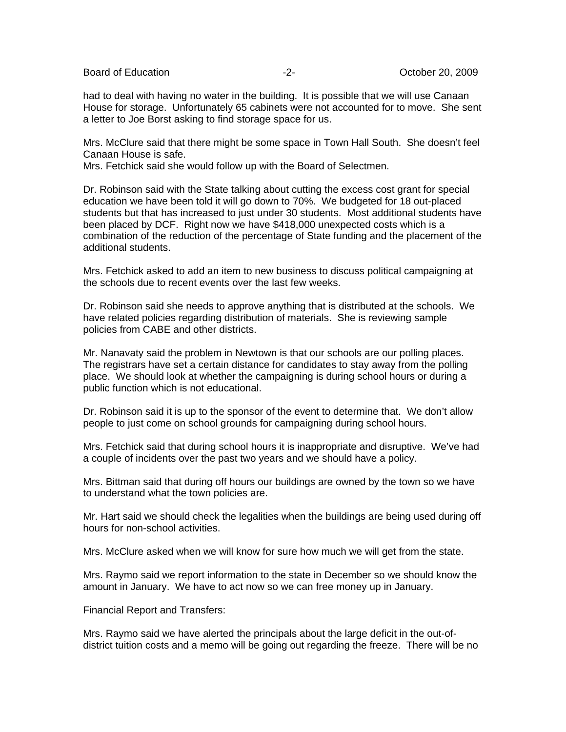Board of Education **-2-** All the Second December 20, 2009 **October 20, 2009** 

had to deal with having no water in the building. It is possible that we will use Canaan House for storage. Unfortunately 65 cabinets were not accounted for to move. She sent a letter to Joe Borst asking to find storage space for us.

Mrs. McClure said that there might be some space in Town Hall South. She doesn't feel Canaan House is safe.

Mrs. Fetchick said she would follow up with the Board of Selectmen.

Dr. Robinson said with the State talking about cutting the excess cost grant for special education we have been told it will go down to 70%. We budgeted for 18 out-placed students but that has increased to just under 30 students. Most additional students have been placed by DCF. Right now we have \$418,000 unexpected costs which is a combination of the reduction of the percentage of State funding and the placement of the additional students.

Mrs. Fetchick asked to add an item to new business to discuss political campaigning at the schools due to recent events over the last few weeks.

Dr. Robinson said she needs to approve anything that is distributed at the schools. We have related policies regarding distribution of materials. She is reviewing sample policies from CABE and other districts.

Mr. Nanavaty said the problem in Newtown is that our schools are our polling places. The registrars have set a certain distance for candidates to stay away from the polling place. We should look at whether the campaigning is during school hours or during a public function which is not educational.

Dr. Robinson said it is up to the sponsor of the event to determine that. We don't allow people to just come on school grounds for campaigning during school hours.

Mrs. Fetchick said that during school hours it is inappropriate and disruptive. We've had a couple of incidents over the past two years and we should have a policy.

Mrs. Bittman said that during off hours our buildings are owned by the town so we have to understand what the town policies are.

Mr. Hart said we should check the legalities when the buildings are being used during off hours for non-school activities.

Mrs. McClure asked when we will know for sure how much we will get from the state.

Mrs. Raymo said we report information to the state in December so we should know the amount in January. We have to act now so we can free money up in January.

Financial Report and Transfers:

Mrs. Raymo said we have alerted the principals about the large deficit in the out-ofdistrict tuition costs and a memo will be going out regarding the freeze. There will be no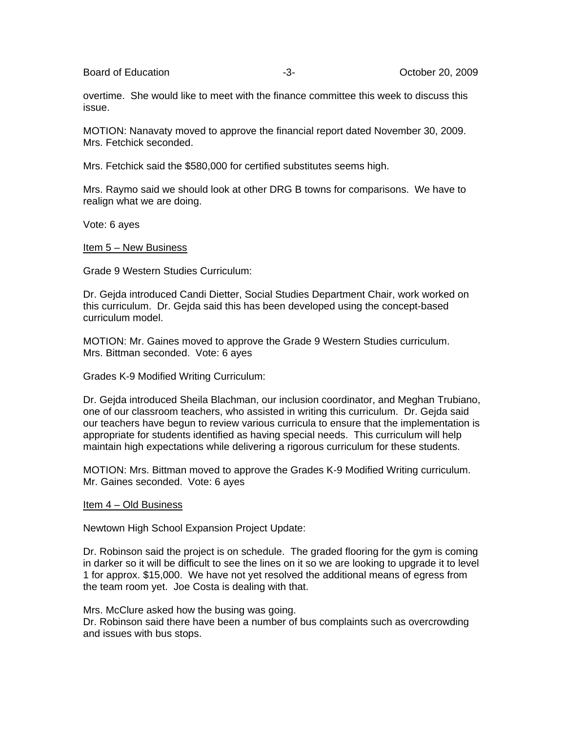Board of Education **-3**- **Community** -3- **Community** Corober 20, 2009

overtime. She would like to meet with the finance committee this week to discuss this issue.

MOTION: Nanavaty moved to approve the financial report dated November 30, 2009. Mrs. Fetchick seconded.

Mrs. Fetchick said the \$580,000 for certified substitutes seems high.

Mrs. Raymo said we should look at other DRG B towns for comparisons. We have to realign what we are doing.

Vote: 6 ayes

Item 5 – New Business

Grade 9 Western Studies Curriculum:

Dr. Gejda introduced Candi Dietter, Social Studies Department Chair, work worked on this curriculum. Dr. Gejda said this has been developed using the concept-based curriculum model.

MOTION: Mr. Gaines moved to approve the Grade 9 Western Studies curriculum. Mrs. Bittman seconded. Vote: 6 ayes

Grades K-9 Modified Writing Curriculum:

Dr. Gejda introduced Sheila Blachman, our inclusion coordinator, and Meghan Trubiano, one of our classroom teachers, who assisted in writing this curriculum. Dr. Gejda said our teachers have begun to review various curricula to ensure that the implementation is appropriate for students identified as having special needs. This curriculum will help maintain high expectations while delivering a rigorous curriculum for these students.

MOTION: Mrs. Bittman moved to approve the Grades K-9 Modified Writing curriculum. Mr. Gaines seconded. Vote: 6 ayes

Item 4 – Old Business

Newtown High School Expansion Project Update:

Dr. Robinson said the project is on schedule. The graded flooring for the gym is coming in darker so it will be difficult to see the lines on it so we are looking to upgrade it to level 1 for approx. \$15,000. We have not yet resolved the additional means of egress from the team room yet. Joe Costa is dealing with that.

Mrs. McClure asked how the busing was going. Dr. Robinson said there have been a number of bus complaints such as overcrowding and issues with bus stops.